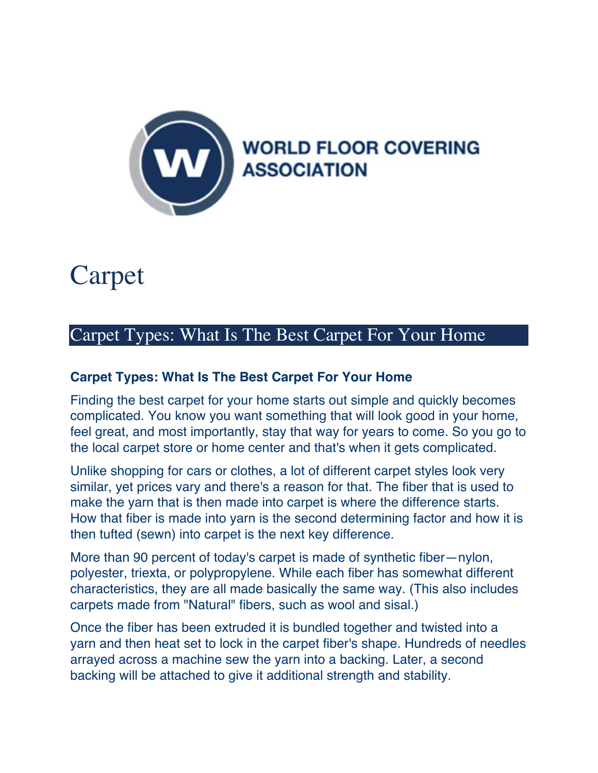

## Carpet

## Carpet Types: What Is The Best Carpet For Your Home

## **Carpet Types: What Is The Best Carpet For Your Home**

Finding the best carpet for your home starts out simple and quickly becomes complicated. You know you want something that will look good in your home, feel great, and most importantly, stay that way for years to come. So you go to the local carpet store or home center and that's when it gets complicated.

Unlike shopping for cars or clothes, a lot of different carpet styles look very similar, yet prices vary and there's a reason for that. The fiber that is used to make the yarn that is then made into carpet is where the difference starts. How that fiber is made into yarn is the second determining factor and how it is then tufted (sewn) into carpet is the next key difference.

More than 90 percent of today's carpet is made of synthetic fiber—nylon, polyester, triexta, or polypropylene. While each fiber has somewhat different characteristics, they are all made basically the same way. (This also includes carpets made from "Natural" fibers, such as wool and sisal.)

Once the fiber has been extruded it is bundled together and twisted into a yarn and then heat set to lock in the carpet fiber's shape. Hundreds of needles arrayed across a machine sew the yarn into a backing. Later, a second backing will be attached to give it additional strength and stability.